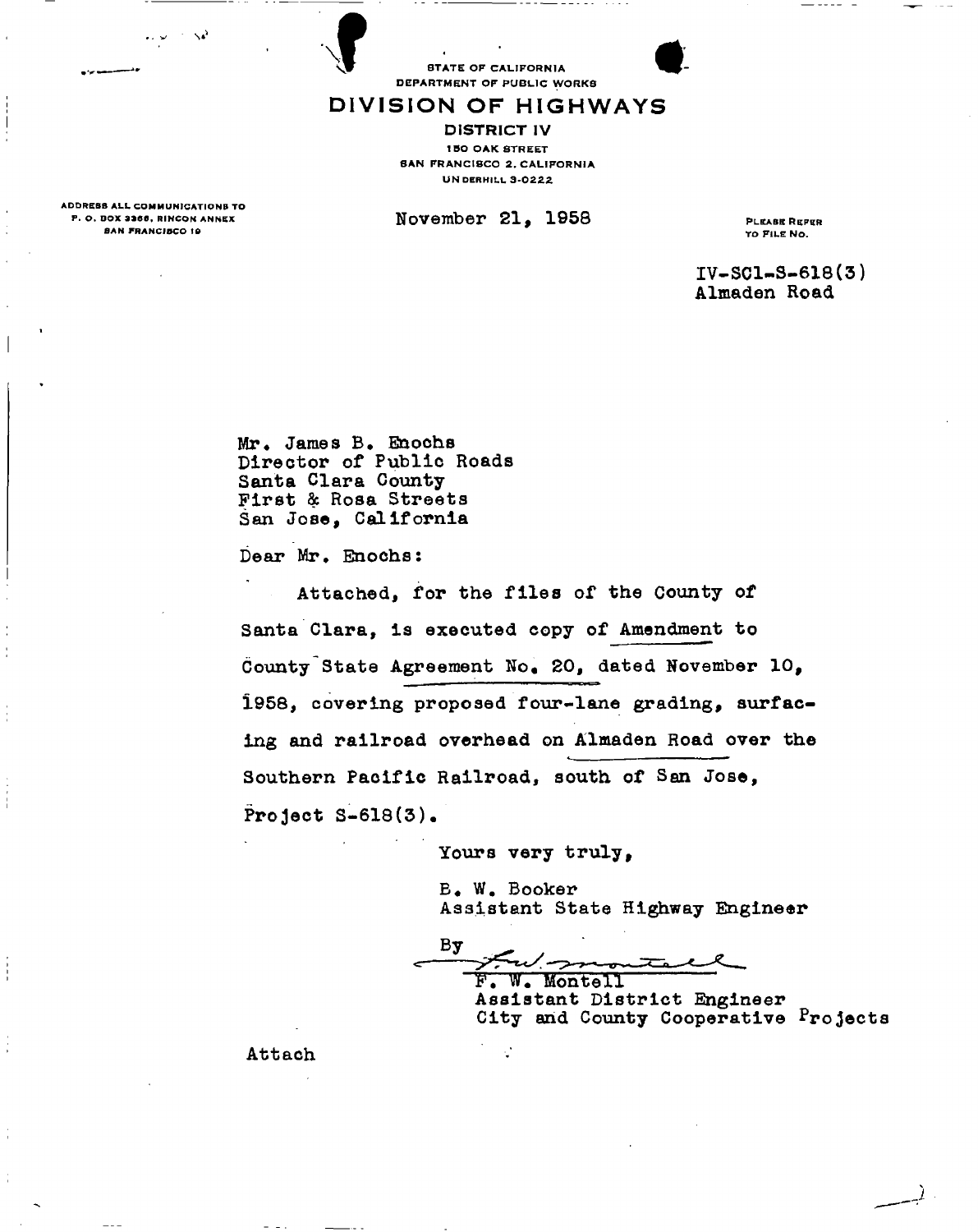FRANCE DEPARTMENT OF PUBLIC WORKS



## DIVISION OF HIGHWAYS

DISTRICT IV 150 OAK STREET **SAN FRANCISCO 2. CALIFORNIA UNDERHILL 3-0222** 

 $\texttt{November 21, 1958}$   $\texttt{PEXABRRFRR}$ 

IV-SC1-S-618(3) Almaden Road

Mr. James B. Enochs Director of Public Roads Santa Clara County First *Sc* Rosa Streets San Jose, California

Dear Mr, Enochs:

Attached, for the files of the County of Santa Clara, is executed copy of Amendment to County State Agreement No. 20, dated November 10, 1958, covering proposed four-lane grading, surfacing and railroad overhead on Almaden Road over the Southern Pacific Railroad, south of San Jose, Project  $S-618(3)$ .

Yours very truly,

B. W. Booker Assistant State Highway Engineer

Bу

F. W. Montell Assistant District Engineer City and County Cooperative Projects

ADDRESS ALL COMMUNICATIONS TO<br>P. O. BOX 3366, RINCON ANNEX **BAN FRANCISCO 19** 

Attach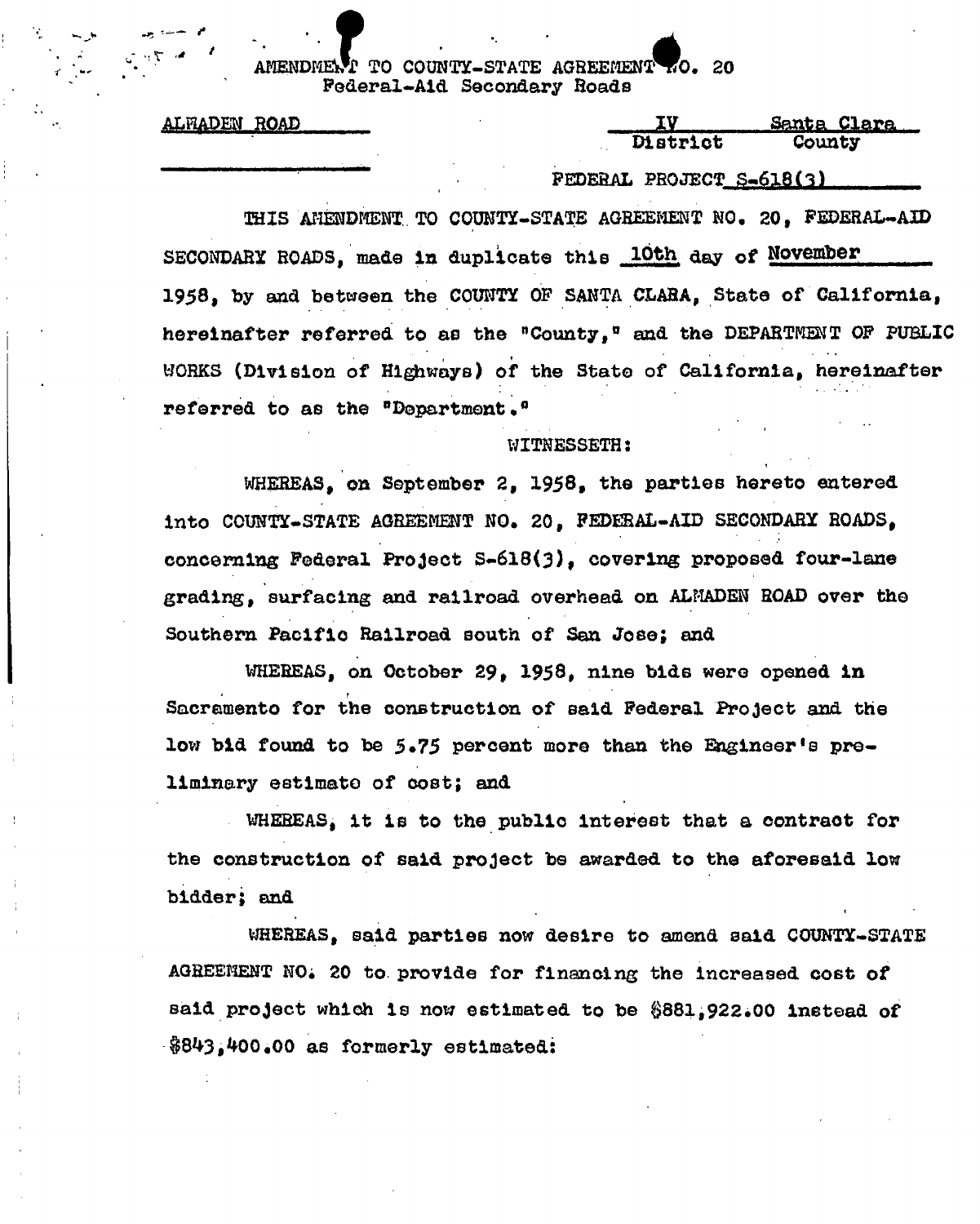### TO COUNTY-STATE AGREEMENT TO. 20 AMENDMENT IO COUNTI-SIAIE AGREEMENT NO. 20<br>Rodaral\_Aid Secondent Roads Federal-Aid Secondary Roads

|  | <u>ALFIADEN</u> | ROAD |  |
|--|-----------------|------|--|
|  |                 |      |  |

| ALFIADEN ROAD | TT)      | <u>Santa Clara – </u> |
|---------------|----------|-----------------------|
|               | District | County                |

District County <u>. FEDERAL PROJECT S-6l8(3) </u>  $\frac{1}{2}$ 

THIS AMERICAN CHARGE AGREEMENT, TO COUNTIER AGREEMENT NO. 201 PEDES AGREEMENT NO. 201 PEDES AGREEMENT NO. 201 SECONDARY ROADS, mad© in duplicate this 10th day of November 1958, by and between the COUNTY OP SANTA CLARA, State of California, hereinafter referred to as the "County," and the DEPARTMENT OF PUBLIC WORKS (Division of Highways) of the State of California, hereinafter referred to as the "Department."

# WITHERS

WHEREAS, on September 2, 1958, the parties hereto entered into COUNTY-STATE AGREEMENT NO. 20, FEDERAL-AID SECONDARY ROADS, concerning Federal Project S-618(3), covering proposed four-lane grading, surfacing and railroad overhead on ALMADEN ROAD over the grading, surfacing and railroad overhead on ALMADEN ROAD over the

WHEREAS, on October 29, 1958, nine bids were opened in nto for the construction of said Federal Project and the low bid found to be 5.75 percent more than the Engineer's preliminary estimate of cost; and

WHEREAS, it is to the public interest that a contract for the construction of said project be awarded to the aforesaid low  $t \cdot a \cdot a \cdot b$ 

WHEREAS, said parties now desire to amend said COUNTY-STATE AGREEMENT NO. 20 to provide for financing the increased cost of said project which is now estimated to be \$881,922.00 instead of  $$843,400.00$  as formerly estimated:

 $\frac{8}{3}$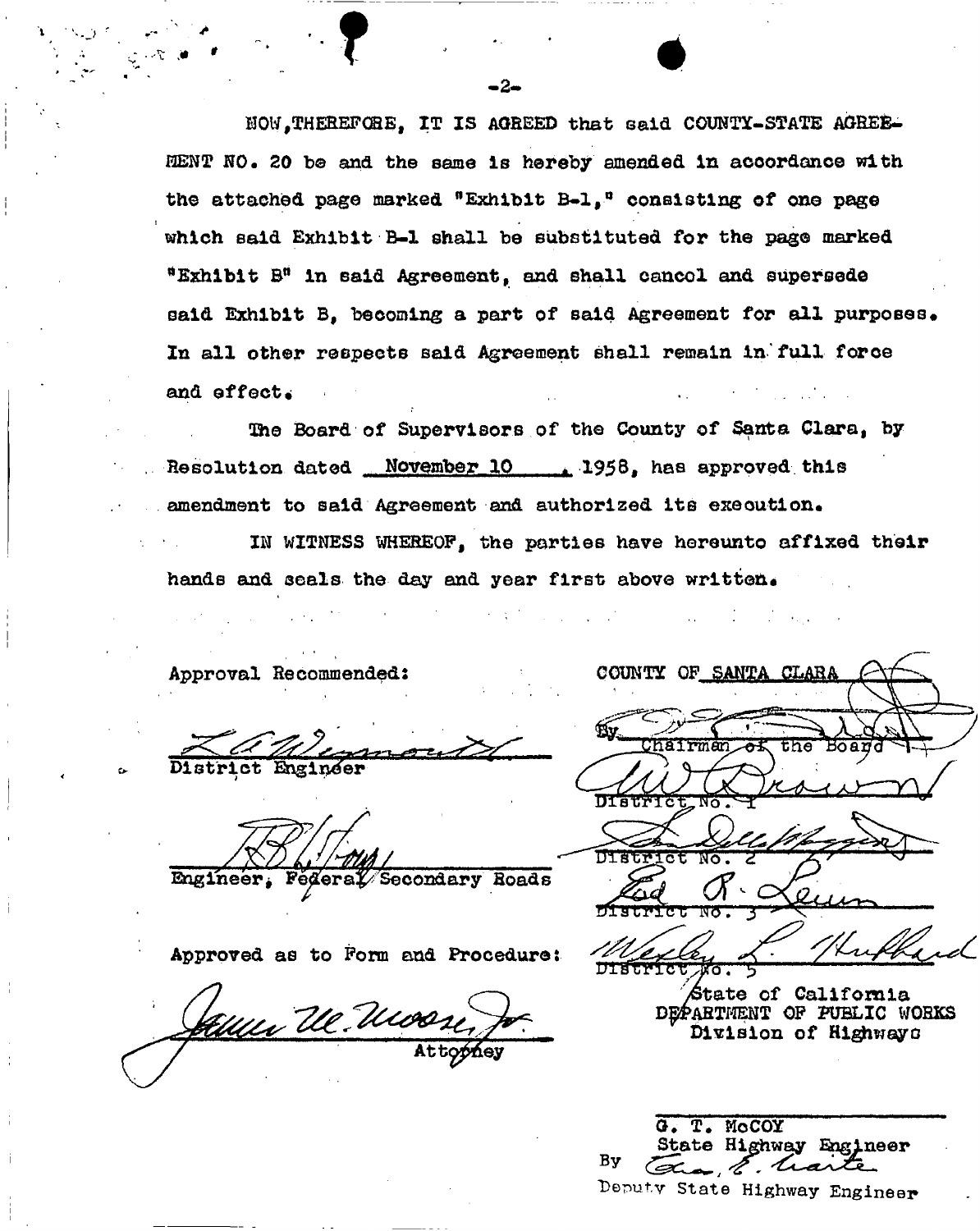HOW,THEREFORE, IT IS AGREED that said COUNTY-STATE AGREE-MENT NO. 20 be and the same is hereby amended in accordance with the attached page marked "Exhibit B-l,° consisting of one page which said Exhibit B-l shall be substituted for the page marked "Exhibit B" in said Agreement, and shall cancol and supersede said Exhibit B, becoming a part of said Agreement for all purposes. In all other respects said Agreement shall remain in'full force and effect.

2he Board of Supervisors of the County of Santa Clara, by Resolution dated November 10 1958, has approved this amendment to said Agreement and authorized its execution. IN WITNESS WHEREOF, the parties have hereunto affixed their hands and seals the day and year first above written.

Approval Recommended;

District Engineer

Engineer, Federal Secondary Roads

Approved as to Form and Procedure:

Attophey

| COUNTY OF SANTA CLARA  |
|------------------------|
|                        |
|                        |
| the Board<br>man<br>òБ |
|                        |
| DISTRICT NO.           |
| l Lift                 |
| DIStrict No.           |
|                        |
| DISCRICT NO.           |

Kuffard

State of California DEPARTMENT OF PUBLIC WORKS division of Highways

T. MoCOY State Highway Engineer Bу . E. trart Deputy **State Highway Engineer**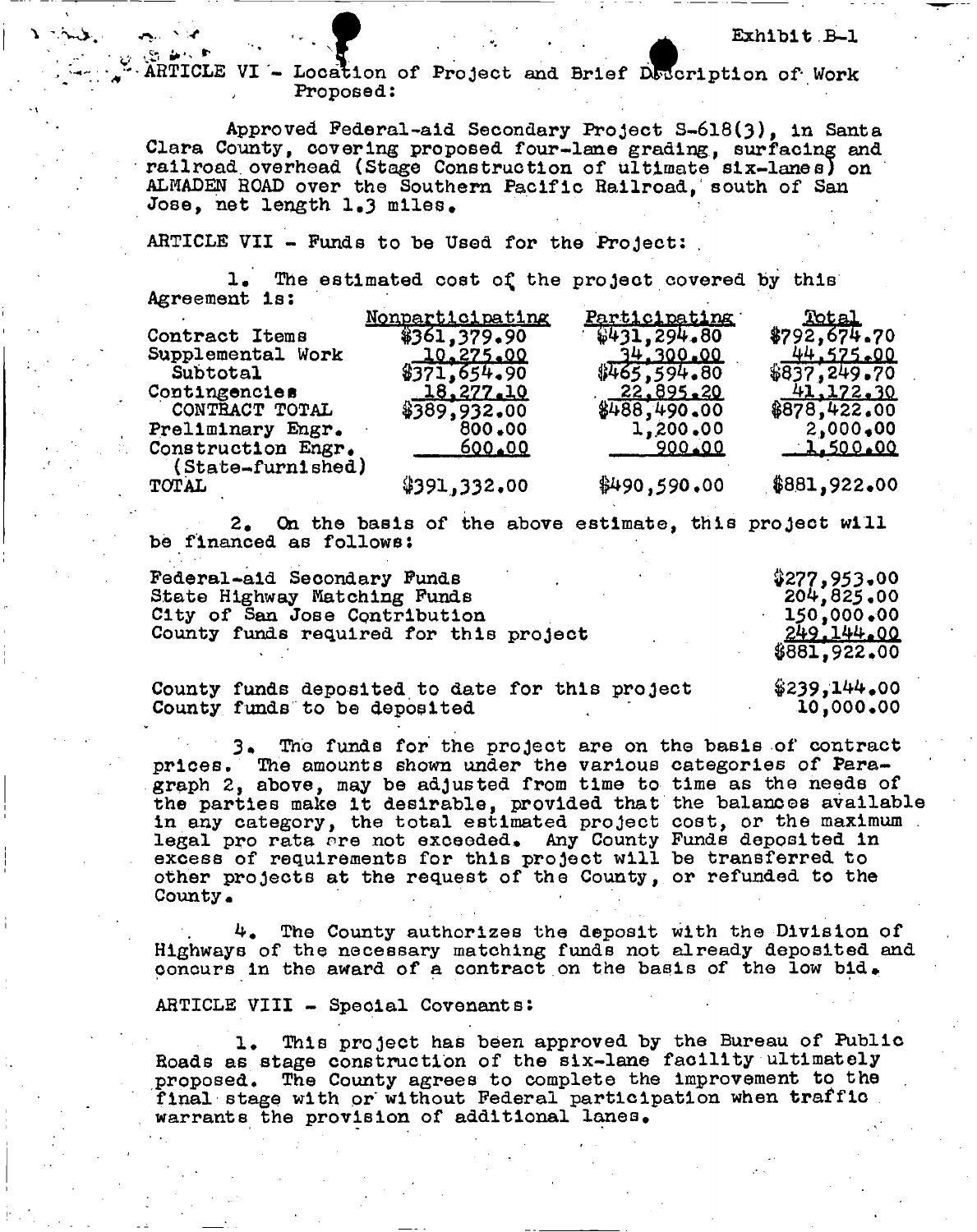Exhibit B-1<br>ARTICLE VI - Location of Project and Brief Doccription of Work Proposed:

Approved Federal-aid Secondary Project S-6l8(3), In Santa Clara County, covering proposed four-lane grading, surfacing and railroad overhead (Stage Construction of ultimate six-lanes) on ALMADEN ROAD over the Southern Pacific Railroad,' south of San Jose, net length 1.3 miles.

## ARTICLE VII - Funds to be Used for the Project: .

 $\sim$   $\sim$ 

1. The estimated cost of the project covered by this Agreement is:

|                                         | <u>Nonparticipating</u> | <u>Participating</u> | Total         |
|-----------------------------------------|-------------------------|----------------------|---------------|
| Contract Items                          | \$361,379.90            | \$431,294.80         | \$792,674.70  |
| Supplemental Work                       | 10,275.00               | 34.300.00            | 44.575.00     |
| Subtotal                                | \$371,654.90            | \$465,594.80         | \$837, 249.70 |
| Contingencies                           | 18,277,10               | 22.895.20            | 41,172,30     |
| CONTRACT TOTAL                          | \$389,932.00            | \$488,490.00         | \$878,422,00  |
| Preliminary Engr.                       | 800.00                  | 1,200,00             | 2,000,00      |
| Construction Engr.<br>(State-furnished) | 600.00                  | 900.00               | 1.500.00      |
| <b>TOTAL</b>                            | \$391,332.00            | \$490,590.00         | \$881,922.00  |

2. On the basis of the above estimate, this project will be financed as follows:

| Federal-aid Secondary Funds            | \$277,953.00 |
|----------------------------------------|--------------|
| State Highway Matching Funds           | 204,825.00   |
| City of San Jose Contribution          | 150,000,00   |
| County funds required for this project | 249.144.00   |
|                                        | \$881,922,00 |

County funds deposited to date for this project County funds to be deposited  $$239,144.00$ **10,000.00** 

The funds for the project are on the basis of contract prices. The amounts shown under the various categories of Paragraph 2, above, may be adjusted from time to time as the needs of the parties make it desirable, provided that the balances available in any category, the total estimated project legal pro rata are not exceeded. Any County excess of requirements for this project will be transferred to other projects at the request of the County, or refunded to the County. cost, or the maximum . Funds deposited in

The County authorizes the deposit with the Division of Highways of the necessary matching funds not already deposited and concurs in the award of a contract on the basis of the low bid.

ARTICLE VIII - Special Covenants:

1. This project has been approved by the Bureau of Public Roads as stage construction of the six-lane facility ultimately proposed. The County agrees to complete the improvement to the final stage with or without Federal participation when traffic warrants the provision of additional lanes.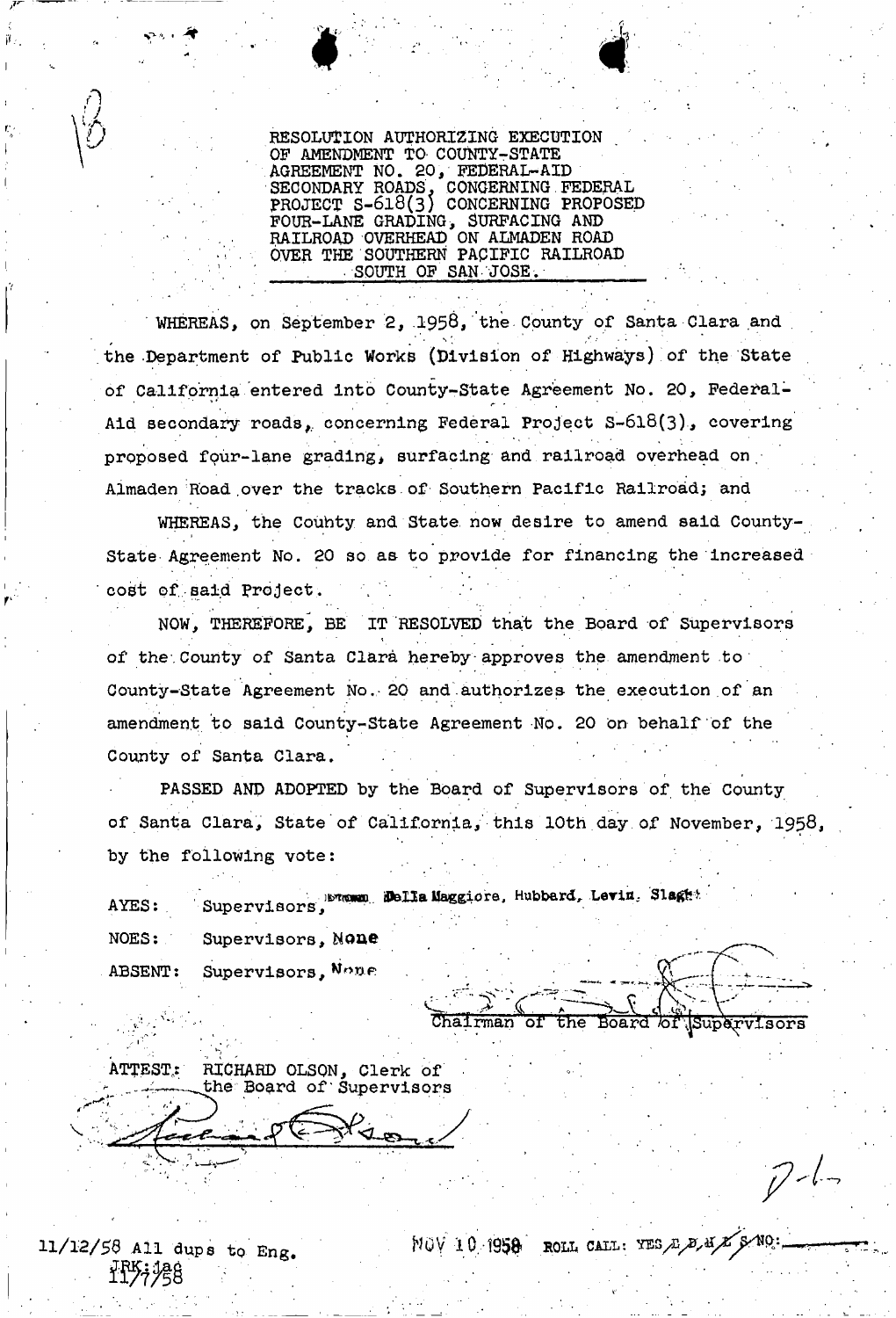RESOLUTION AUTHORIZING EXECUTION OF AMENDMENT TO COUNTY-STATE AGREEMENT NO. 20, FEDERAL-AID SECONDARY ROADS, CONGERNING FEDERAL PROJECT S**-6l8**(3) CONCERNING PROPOSED FOUR-LANE GRADING> SURFACING AND RAILROAD OVERHEAD ON ALMADEN ROAD OVER THE SOUTHERN PACIFIC RAILROAD SOUTH OF SAN JOSE

WHEREAS, on September 2, 1958, the County of Santa Clara and the Department of Public Works (Division of Highways) of the State of California entered into County-State Agreement No. 20, Federal-Aid secondary roads, concerning Federal Project S-618(3), covering proposed fpur-lane grading, surfacing and railroad overhead on, Almaden Road over the tracks of Southern Pacific Railroad; and

WHEREAS, the Couhty and State, now desire to amend said County-State Agreement No. 20 so as to provide for financing the increased cost of said Project.

NOW, THEREFORE, BE IT RESOLVED *thait* the Board of Supervisors \* • . of the County of Santa Clara hereby approves the amendment to County-State Agreement No. 20 and authorizes the execution of an amendment to said County-State Agreement No. 20 on behalf of the County of Santa Clara.

PASSED AND ADOPTED by the Board of Supervisors of the County of Santa Clara, State of California,' this 10th day of November, 1958 by the following vote:

AYES: Supervisors, **Bella Maggiore, Hubbard, Levin, Slaget** NOES: ABSENT: Supervisors, None Supervisors, None

Chairman of the Board of Supervisors

ATTEST: RICHARD OLSON, Clerk of<br>the Board of Supervisors

*11/12/56 All* dups to Eng. **NOV 10.1958- ROli** CALL : **m** / B **^lfX/^ ^**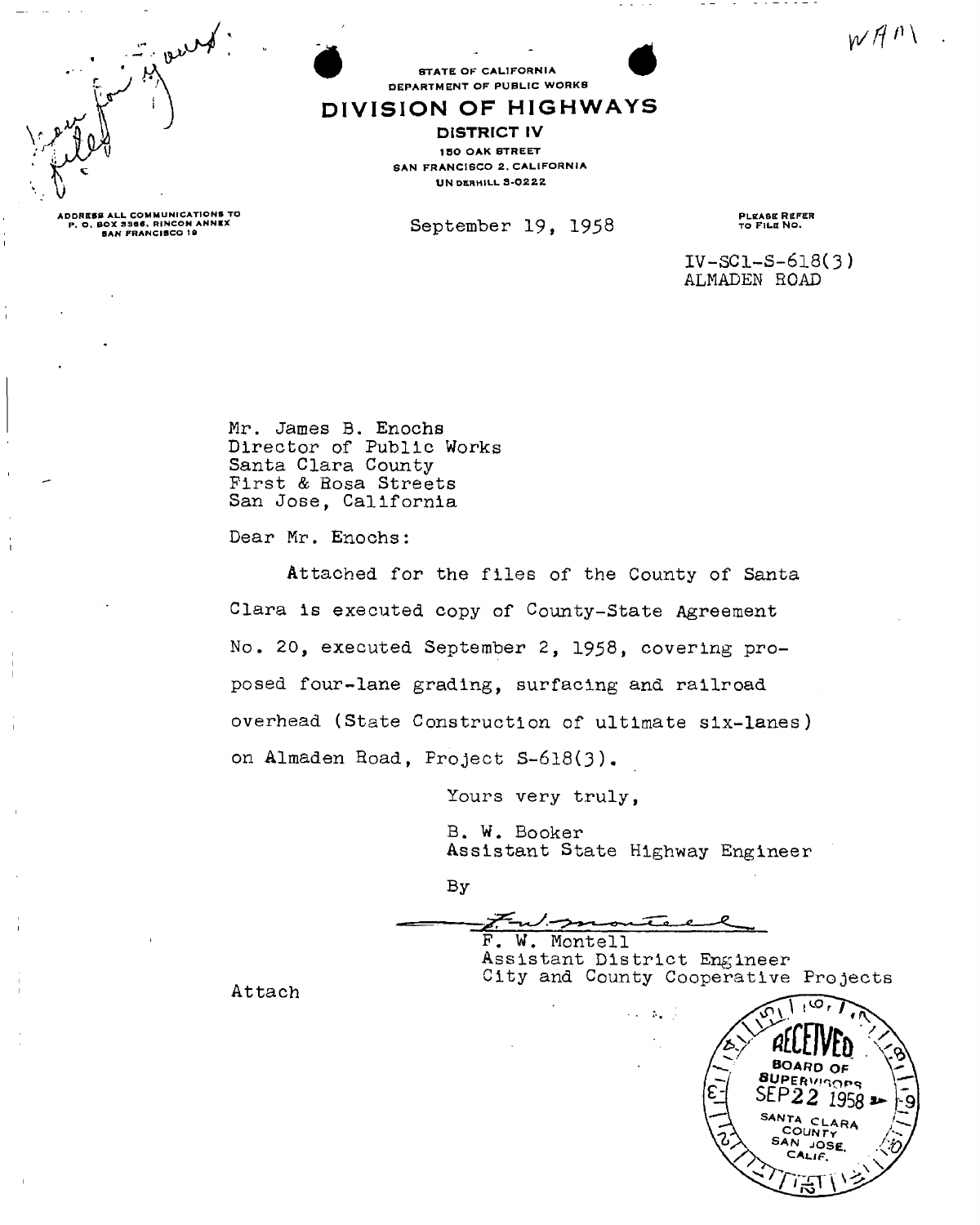$wH^{n}$ 



**STATE OF CALIFORNIA** DEPARTMENT OF PUBLIC WORKS

## DIVISION OF HIGHWAYS

DISTRICT IV 150 OAK STREET SAN FRANCISCO 2. CALIFORNIA **UNDERHILL 3-0222** 

**September 19, 1958** 

PLEASE REFER<br>TO FILE NO.

. . . . . . . .

**IV-SCl-S-6l8(3) ALMADEN** ROAD

**Mr. James B. Enochs Director of Public Works Santa Clara County First & Bosa Streets San Jose, California** 

**Dear Mr. Enochs:** 

**Attached for the files of the County of Santa Clara is executed copy of County-State Agreement No. 20, executed September 2, 1958, covering proposed four-lane grading, surfacing and railroad overhead (State Construction of ultimate six-lanes) on A1maden Hoad, Project S-6l8(3).** 

**Yours very truly,** 

**B. W. Booker Assistant State Highway Engineer** 

 $By$ 

**P. W. Montell** 

**Assistant District Engineer City and County Cooperative Projects** 

أناوي والمناو

**Attach** 



ADDRESS ALL COMMUNICATIONS TO<br>P. O. BOX 3346, RENCON ANNEX<br>SAN FRANCISCO 19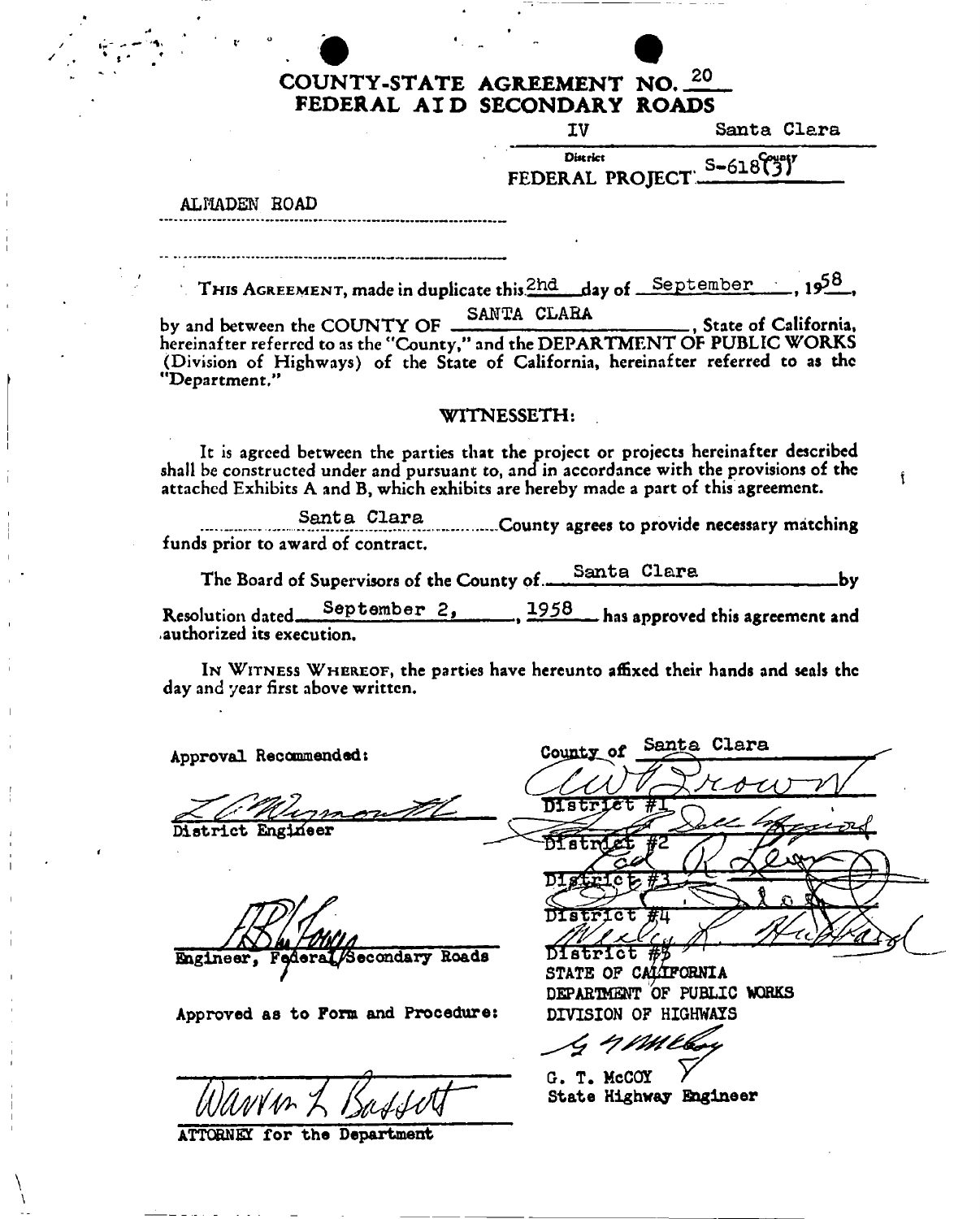## COUNTY-STATE AGREEMENT NO. 20 FEDERAL AI D SECONDARY ROADS

IV Santa Clara

f

FEDERAL PROJECT **CHOLOGY** 

ALMADEN ROAD

THIS AGREEMENT, made in duplicate this  $\frac{2hd}{2}$  day of September 1958,

by and between the COUNTY OF SANTA CLARA , State of California, hereinafter referred to as the "County," and the DEPARTMENT OF PUBLIC WORKS (Division of Highways) of the State of California, hereinafter referred to as the "Department,"

## WITNESSETH:

It is agreed between the parties that the project or projects hereinafter described shall be constructed under and pursuant to, and in accordance with the provisions of the attached Exhibits A and B, which exhibits are hereby made a part of this agreement.

Santa Clara<br>County agrees to provide necessary matching funds prior to award of contract.

The Board of Supervisors of the County of Santa Clar by

**Resolution dated** September 2, 1958 has approved this agreement and .authorized its execution.

IN WITNESS WHEREOF, the parties have hereunto affixed their hands and seals the day and year first above written.

**Approval Recommended:** 

**Diatrict Engineer** 

**Engineer, Federal/Secondary Roads** 

**Approved as to Form and Procedure!** 

**ATTORNEY for the Department** 

maa TIT S  $\overline{\mathtt{crot}}$  of  $\#$ 

**STATE OF CALIFORNIA**  DEPARTMENT OF PUBLIC WORKS **DIVISION OF HIGHWAYS** 

County of Santa Clara

**Gr« T. McCOT State Highway Bagineer**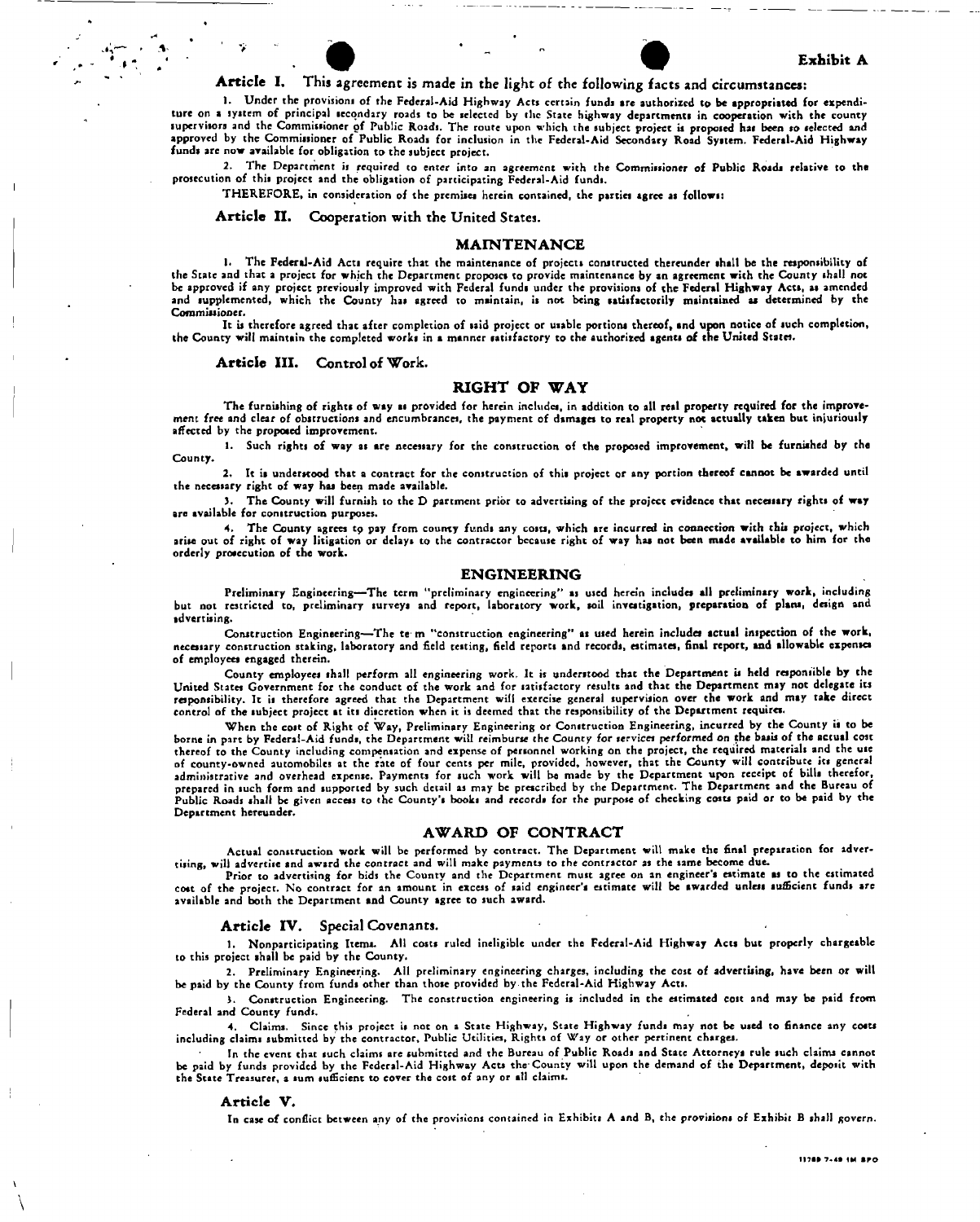#### Exhibit A

# Article I, This agreement is made in the light of the following facts and circumstances:

1. Under the provisions of the Federal-Aid Highway Acts ccrtain funds ire authorized to be appropriated for expenditure on a system of principal secondary roads to be selected by the State highway departments in cooperation with the county supervisors and the Commissioner of Public Roads. The route upon which the subject project is proposed hai been so selected and approved by the Commissioner of Public Roads for inclusion in the Federal-Aid Secondary Road System. Federal-Aid Highway funds are now available for obligation to the subject project.

2, The Department is required to enter into an agreement with the Commissioner of Public Roads relative to the prosecution of this project and the obligation of participating Federal-Aid funds.

THEREFORE, in consideration of the premises herein contained, the parties agree as follows:

Article II. Cooperation with the United States.

#### MAINTENANCE

1. The Federal-Aid Acts require that the maintenance of projects constructed thereunder shall be the responsibility of the State and that a project for which the Department proposes to provide maintenance by an agreement with the County shall not be approved if any project previously improved with Federal fundi under the provisions of the Federal Highway Acts, as amended and supplemented, which the County has agreed to maintain, is not being satisfactorily maintained as determined by the Commissioner.

It is therefore agreed that after completion of laid project or usable portions thereof, and upon notice of such completion, the County will maintain the completed works in a manner satisfactory to the authorized agents of the United States.

#### Article III. Control of Work.

#### RIGHT OF WAY

The furnishing of rights of way as provided for herein includes, in addition to all real property required for the improvement free and clear of obstructions and encumbrances, the payment of damages to real property not actually taken but injuriously affected by the propoaed improvement.

1. Such rights of way as are necessary for the construction of the proposed improvement, will be furniahed by the County.

2. It is understood that a contract for the construction of this project or any portion thereof cannot be awarded until the necessary right of way has been made available.

5. The County will furnish to the D partment prior to advertising of the project evidence that necessary rights of way are available for construction purposes.

4. The County agrees tp pay from county funds any costs, which are incurred in connection with this project, which arise out of right of way litigation or delays to the contractor because right of way has not been made available to him for the orderly proaecution of the work.

#### ENGINEERING

Preliminary Engineering—The term "preliminary engineering" as used herein includes all preliminary work, including but not restricted to, preliminary surveys and report, laboratory work, soil investigation, preparation of plans, design and advertising.

Construction Engineering—The te m "construction engineering" as used herein includes actual inspection of the work, necessary construction staking, laboratory and field testing, field reports and records, estimates, final report, and allowable expenses of employees engaged therein.

County employees shall perform all engineering work. It is understood that the Department is held responsible by the United States Government for the conduct of the work and for satisfactory results and that the Department may not delegate its responsibility. It is therefore agreed that the Department will exercise general supervision over the work and may take direct control of the subject project at its discretion when it is deemed that the responsibility of the Department requires.

When the cost of Right of Way, Preliminary Engineering or Construction Engineering, incurred by the County is to be borne in part by Federal-Aid funds, the Department will reimburse the County for services *performed* on the basis of the actual coat thereof to the County including compensation and expense of personnel working on the project, the required materials and the use of county-owned automobiles at the rate of four cents per mile, provided, however, that the County will contribute its general administrative and overhead expense. Payments for such work will be made by the Department upon receipt of bills therefor, prepared in such form and supported by such detail as may be prescribed by the Department. The Department and the Bureau of Public Roads shall be given access to the County's books and records for the purpose of checking costs paid or to be paid by the Department hereunder.

#### AWARD OF CONTRACT

Actual construction work will be performed by contract. The Department will make the final preparation for advertising, will advertise and award the contract and will make payments to the contractor as the same become due.

Prior to advertising for bids the County and the Department must agree on an engineer's estimate as to the estimated cost of the project. No contract for an amount in excess of said engineer's estimate will be awarded unless sufficient funds are available and both the Department and County agree to such award.

#### Article IV. Special Covenants.

1. Nonparticipating Items. All costs ruled ineligible under the Federal-Aid Highway Acts but properly chargeable to this project shall be paid by the County.

2. Preliminary Engineering. All preliminary engineering charges, including the cost of advertising, have been or will be paid by the County from funds other than those provided by the Federal-Aid Highway Acts.

J. Construction Engineering. The construction engineering is included in the estimated cost and may be paid from Federal and County funds.

*4.* Claims. Since this project is not on a State Highway, State Highway funds may not be used to finance any coats including claims submitted by the contractor, Public Utilities, Rights of Way or other pertinent charges.

In the event that such claims are submitted and the Bureau of Public Roads and State Attorneys rule such claims cannot be paid by funds provided by the Federal-Aid Highway Acts the'County will upon the demand of the Department, deposit with the State Treasurer, a sum sufficient to cover the cost of any or all claims.

#### Article V.

In case of conflict between any of the provisions contained in Exhibits A and B, the provisions of Exhibit B shall govern.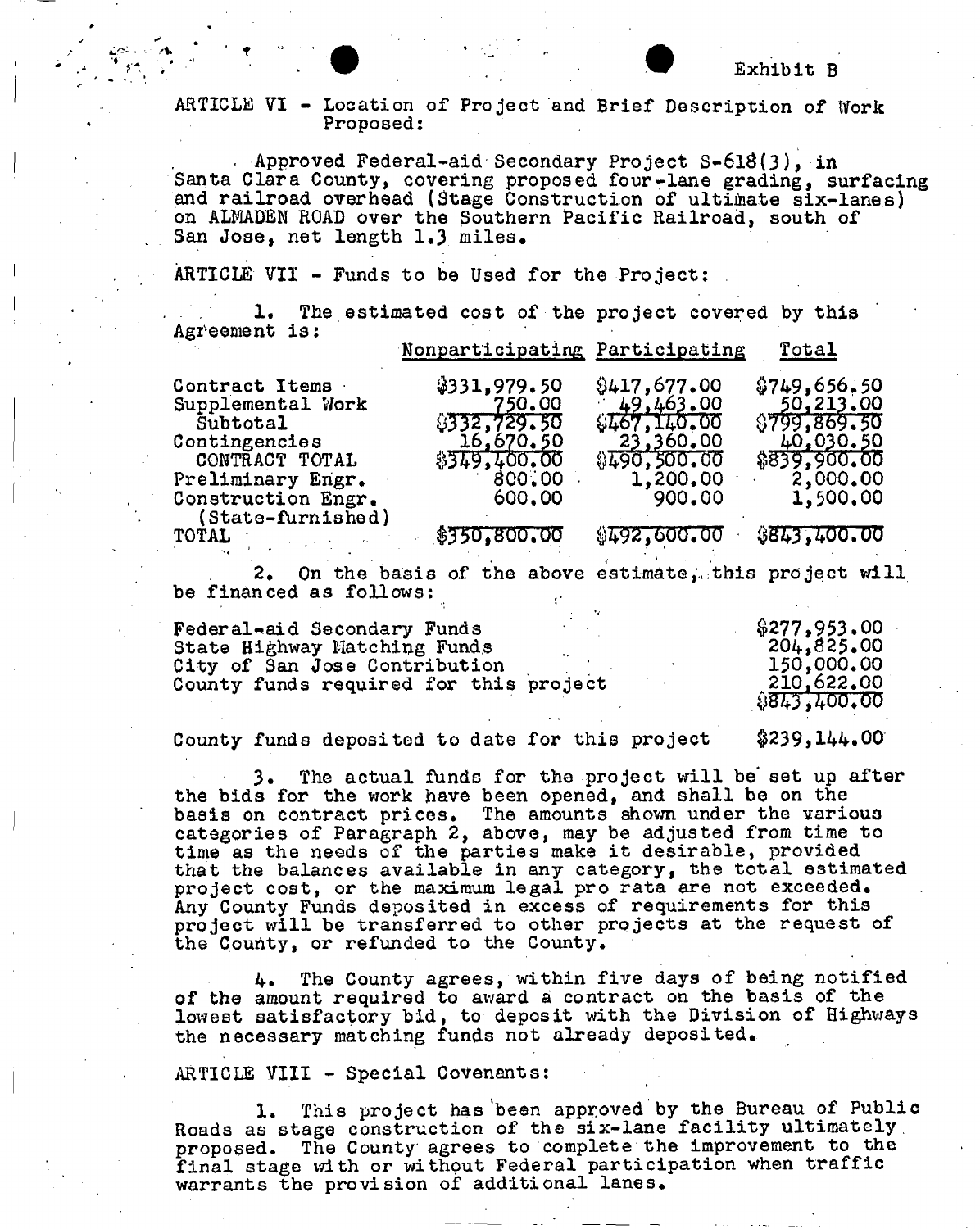## ARTICLE VI - Location of Project and Brief Description of Work Proposed:

. Approved Federal-aid Secondary Project S-6l8(3), in Santa Clara County, covering proposed four-lane grading, surfacing and railroad overhead (Stage Construction of ultimate six-lanes) on ALMADEN ROAD over the Southern Pacific Railroad, south of San Jose, net length 1.3. miles.

ARTICLE VII - Funds to be Used for the Project:

1. The estimated cost of the project covered by this Agreement is: Nonpartlcipating Participating Total

|                                           | Monhar are papas the variation and |                           | 10011                     |
|-------------------------------------------|------------------------------------|---------------------------|---------------------------|
| Contract Items                            | \$331,979.50                       | \$417,677.00              | \$749,656.50              |
| Supplemental Work<br>Subtotal             | 750.00<br>9332,729.50              | 49,463,00<br>\$467,140.00 | 50,213,00<br>\$799,869.50 |
| Contingencies<br>CONTRACT TOTAL           | 16,670,50<br>\$349,400.00          | 23,360.00<br>\$490,500.00 | 40,030.50<br>\$839,900.00 |
| Preliminary Engr.                         | 800.00                             | 1,200.00                  | 2,000.00                  |
| Construction Engr.<br>$(State-turnished)$ | 600.00                             | 900.00                    | 1,500.00                  |
| <b>TOTAL</b>                              | \$350,800,00                       | \$492,600.00              | \$843,400.00              |

2. On the basis of the above estimate, this project will be financed as follows:

| Federal-aid Secondary Funds                                             |  | \$277,953.00             |
|-------------------------------------------------------------------------|--|--------------------------|
| State Highway Matching Funds                                            |  | 204,825,00               |
| City of San Jose Contribution<br>County funds required for this project |  | 150,000.00<br>210,622.00 |
|                                                                         |  | 8843,400.00              |

County funds deposited to date for this project  $$239,144.00$ 

3. The actual funds for the project will be set up after the bids for the work have been opened, and shall be on the basis on contract prices. The amounts shown under the various categories of Paragraph 2, above, may be adjusted from time to time as the needs of the parties make it desirable, provided that the balances available in any category, the total estimated project cost, or the maximum legal pro rata are not exceeded. Any County Funds deposited in excess of requirements for this project will be transferred to other projects at the request of the Couhty, or refunded to the County.

4. The County agrees, within five days of being notified of the amount required to award a contract on the basis of the lowest satisfactory bid, to deposit with the Division of Highways the necessary matching funds not already deposited.

## ARTICLE VIII - Special Covenants:

1. This project has'been approved by the Bureau of Public Roads as stage construction of the six-lane facility ultimately, proposed. The County agrees to complete the improvement to the final stage with or without Federal participation when traffic warrants the provision of additional lanes.